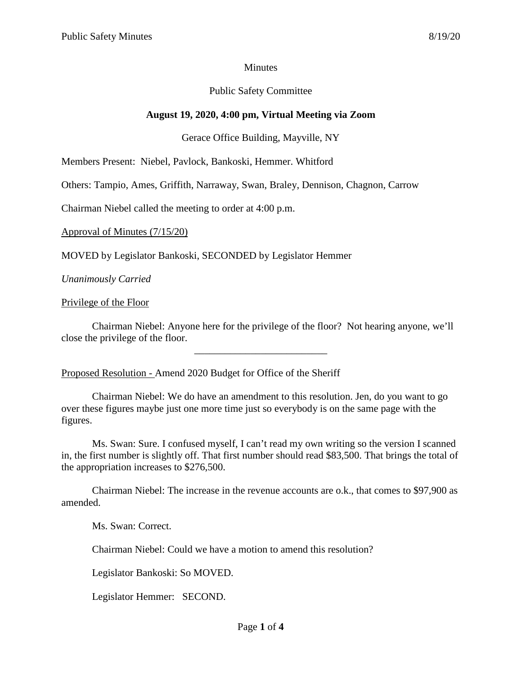### **Minutes**

# Public Safety Committee

# **August 19, 2020, 4:00 pm, Virtual Meeting via Zoom**

### Gerace Office Building, Mayville, NY

Members Present: Niebel, Pavlock, Bankoski, Hemmer. Whitford

Others: Tampio, Ames, Griffith, Narraway, Swan, Braley, Dennison, Chagnon, Carrow

Chairman Niebel called the meeting to order at 4:00 p.m.

Approval of Minutes (7/15/20)

MOVED by Legislator Bankoski, SECONDED by Legislator Hemmer

*Unanimously Carried*

### Privilege of the Floor

Chairman Niebel: Anyone here for the privilege of the floor? Not hearing anyone, we'll close the privilege of the floor.

\_\_\_\_\_\_\_\_\_\_\_\_\_\_\_\_\_\_\_\_\_\_\_\_\_\_

Proposed Resolution - Amend 2020 Budget for Office of the Sheriff

Chairman Niebel: We do have an amendment to this resolution. Jen, do you want to go over these figures maybe just one more time just so everybody is on the same page with the figures.

Ms. Swan: Sure. I confused myself, I can't read my own writing so the version I scanned in, the first number is slightly off. That first number should read \$83,500. That brings the total of the appropriation increases to \$276,500.

Chairman Niebel: The increase in the revenue accounts are o.k., that comes to \$97,900 as amended.

Ms. Swan: Correct.

Chairman Niebel: Could we have a motion to amend this resolution?

Legislator Bankoski: So MOVED.

Legislator Hemmer: SECOND.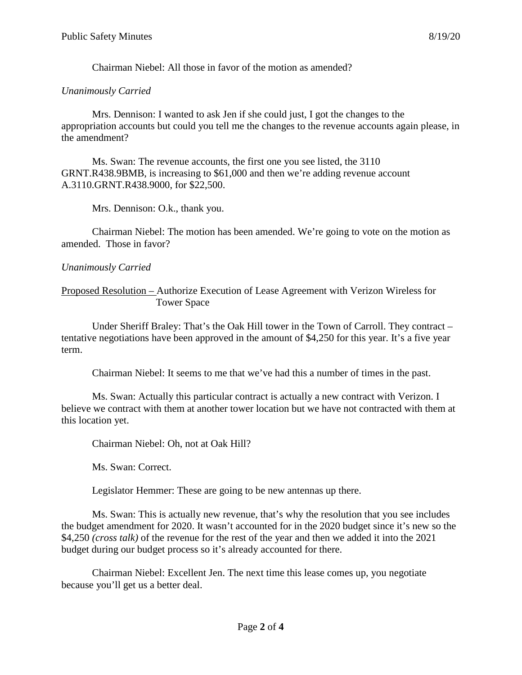Chairman Niebel: All those in favor of the motion as amended?

# *Unanimously Carried*

Mrs. Dennison: I wanted to ask Jen if she could just, I got the changes to the appropriation accounts but could you tell me the changes to the revenue accounts again please, in the amendment?

Ms. Swan: The revenue accounts, the first one you see listed, the 3110 GRNT.R438.9BMB, is increasing to \$61,000 and then we're adding revenue account A.3110.GRNT.R438.9000, for \$22,500.

Mrs. Dennison: O.k., thank you.

Chairman Niebel: The motion has been amended. We're going to vote on the motion as amended. Those in favor?

# *Unanimously Carried*

Proposed Resolution – Authorize Execution of Lease Agreement with Verizon Wireless for Tower Space

Under Sheriff Braley: That's the Oak Hill tower in the Town of Carroll. They contract – tentative negotiations have been approved in the amount of \$4,250 for this year. It's a five year term.

Chairman Niebel: It seems to me that we've had this a number of times in the past.

Ms. Swan: Actually this particular contract is actually a new contract with Verizon. I believe we contract with them at another tower location but we have not contracted with them at this location yet.

Chairman Niebel: Oh, not at Oak Hill?

Ms. Swan: Correct.

Legislator Hemmer: These are going to be new antennas up there.

Ms. Swan: This is actually new revenue, that's why the resolution that you see includes the budget amendment for 2020. It wasn't accounted for in the 2020 budget since it's new so the \$4,250 *(cross talk)* of the revenue for the rest of the year and then we added it into the 2021 budget during our budget process so it's already accounted for there.

Chairman Niebel: Excellent Jen. The next time this lease comes up, you negotiate because you'll get us a better deal.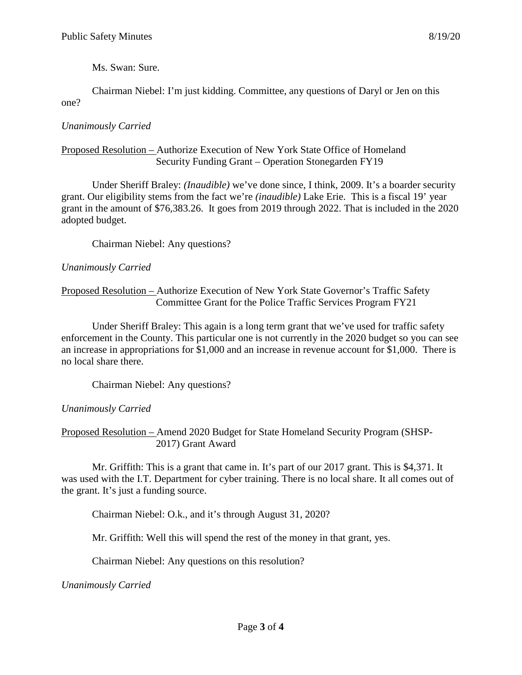Ms. Swan: Sure.

Chairman Niebel: I'm just kidding. Committee, any questions of Daryl or Jen on this one?

# *Unanimously Carried*

### Proposed Resolution – Authorize Execution of New York State Office of Homeland Security Funding Grant – Operation Stonegarden FY19

Under Sheriff Braley: *(Inaudible)* we've done since, I think, 2009. It's a boarder security grant. Our eligibility stems from the fact we're *(inaudible)* Lake Erie. This is a fiscal 19' year grant in the amount of \$76,383.26. It goes from 2019 through 2022. That is included in the 2020 adopted budget.

Chairman Niebel: Any questions?

# *Unanimously Carried*

Proposed Resolution – Authorize Execution of New York State Governor's Traffic Safety Committee Grant for the Police Traffic Services Program FY21

Under Sheriff Braley: This again is a long term grant that we've used for traffic safety enforcement in the County. This particular one is not currently in the 2020 budget so you can see an increase in appropriations for \$1,000 and an increase in revenue account for \$1,000. There is no local share there.

Chairman Niebel: Any questions?

*Unanimously Carried*

Proposed Resolution – Amend 2020 Budget for State Homeland Security Program (SHSP- 2017) Grant Award

Mr. Griffith: This is a grant that came in. It's part of our 2017 grant. This is \$4,371. It was used with the I.T. Department for cyber training. There is no local share. It all comes out of the grant. It's just a funding source.

Chairman Niebel: O.k., and it's through August 31, 2020?

Mr. Griffith: Well this will spend the rest of the money in that grant, yes.

Chairman Niebel: Any questions on this resolution?

*Unanimously Carried*